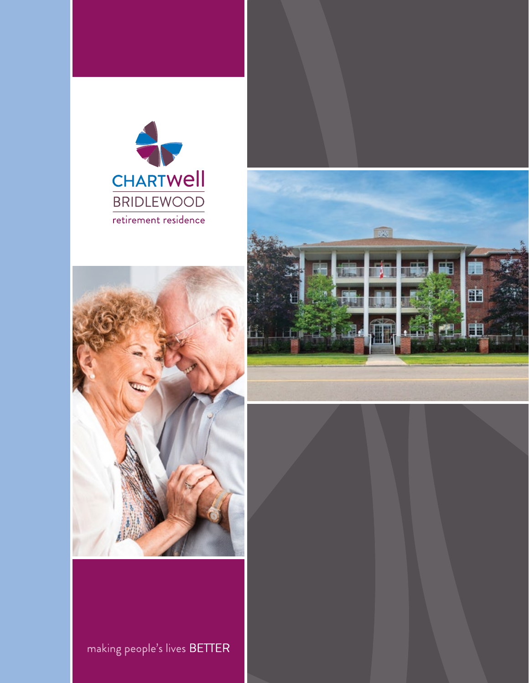





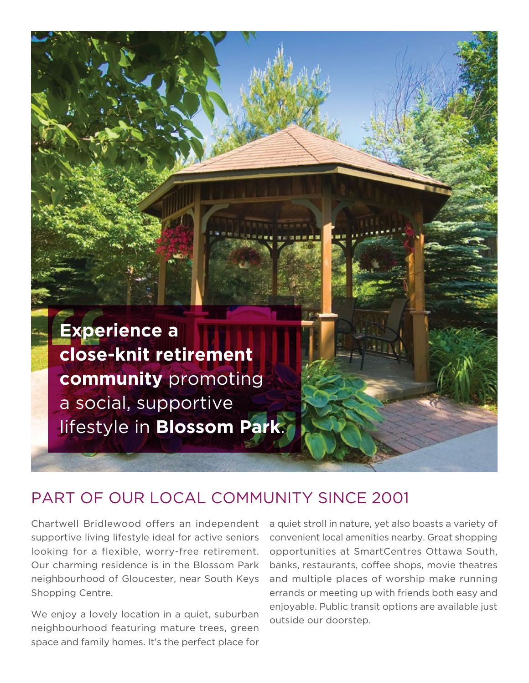

## PART OF OUR LOCAL COMMUNITY SINCE 2001

Chartwell Bridlewood offers an independent supportive living lifestyle ideal for active seniors looking for a flexible, worry-free retirement. Our charming residence is in the Blossom Park neighbourhood of Gloucester, near South Keys Shopping Centre.

We enjoy a lovely location in a quiet, suburban neighbourhood featuring mature trees, green space and family homes. It's the perfect place for

a quiet stroll in nature, yet also boasts a variety of convenient local amenities nearby. Great shopping opportunities at SmartCentres Ottawa South, banks, restaurants, coffee shops, movie theatres and multiple places of worship make running errands or meeting up with friends both easy and enjoyable. Public transit options are available just outside our doorstep.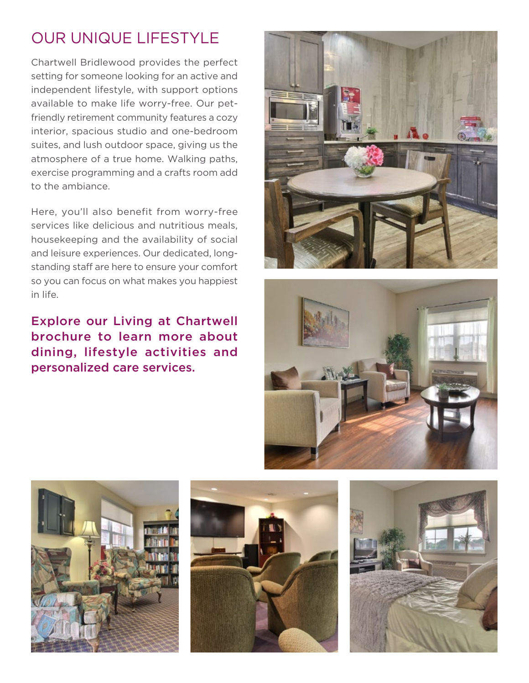## OUR UNIQUE LIFESTYLE

Chartwell Bridlewood provides the perfect setting for someone looking for an active and independent lifestyle, with support options available to make life worry-free. Our petfriendly retirement community features a cozy interior, spacious studio and one-bedroom suites, and lush outdoor space, giving us the atmosphere of a true home. Walking paths, exercise programming and a crafts room add to the ambiance.

Here, you'll also benefit from worry-free services like delicious and nutritious meals, housekeeping and the availability of social and leisure experiences. Our dedicated, longstanding staff are here to ensure your comfort so you can focus on what makes you happiest in life.

Explore our Living at Chartwell brochure to learn more about dining, lifestyle activities and personalized care services.









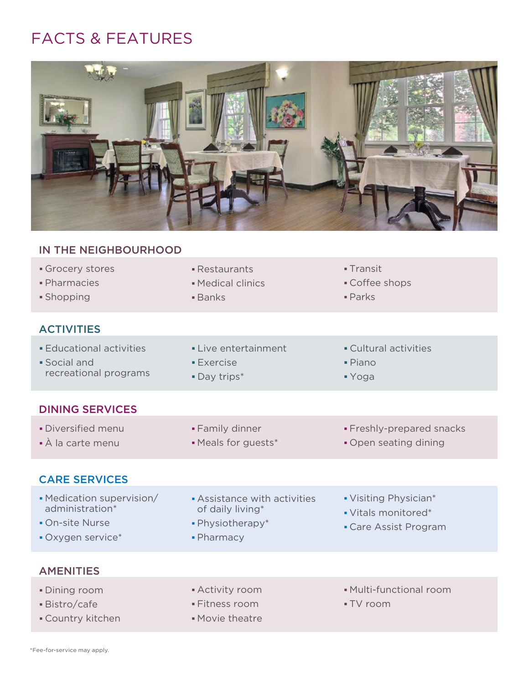## FACTS & FEATURES



| IN THE NEIGHBOURHOOD                                                                 |                                                                                         |                                                                       |
|--------------------------------------------------------------------------------------|-----------------------------------------------------------------------------------------|-----------------------------------------------------------------------|
| Grocery stores<br>· Pharmacies<br>· Shopping                                         | - Restaurants<br>• Medical clinics<br><b>Banks</b>                                      | <b>- Transit</b><br>• Coffee shops<br>$\blacksquare$ Parks            |
| <b>ACTIVITIES</b>                                                                    |                                                                                         |                                                                       |
| <b>Educational activities</b><br>· Social and<br>recreational programs               | • Live entertainment<br><b>Exercise</b><br>· Day trips*                                 | • Cultural activities<br>· Piano<br>■ Yoga                            |
| <b>DINING SERVICES</b>                                                               |                                                                                         |                                                                       |
| • Diversified menu<br>• À la carte menu                                              | • Family dinner<br>• Meals for guests*                                                  | · Freshly-prepared snacks<br>• Open seating dining                    |
| <b>CARE SERVICES</b>                                                                 |                                                                                         |                                                                       |
| • Medication supervision/<br>administration*<br>• On-site Nurse<br>• Oxygen service* | <b>Assistance with activities</b><br>of daily living*<br>• Physiotherapy*<br>• Pharmacy | • Visiting Physician*<br>• Vitals monitored*<br>• Care Assist Program |
| <b>AMENITIES</b>                                                                     |                                                                                         |                                                                       |
| · Dining room<br>· Bistro/cafe<br><b>Country kitchen</b>                             | • Activity room<br>• Fitness room<br>• Movie theatre                                    | • Multi-functional room<br>- TV room                                  |